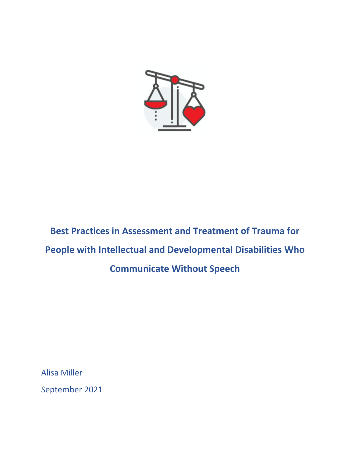

**Best Practices in Assessment and Treatment of Trauma for People with Intellectual and Developmental Disabilities Who Communicate Without Speech**

Alisa Miller

September 2021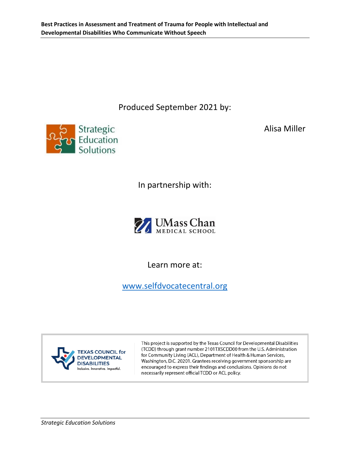Produced September 2021 by:



Alisa Miller

In partnership with:



Learn more at:

[www.selfdvocatecentral.org](http://www.selfdvocatecentral.org/)



This project is supported by the Texas Council for Developmental Disabilities (TCDD) through grant number 2101TXSCDD00 from the U.S. Administration for Community Living (ACL), Department of Health & Human Services, Washington, D.C. 20201. Grantees receiving government sponsorship are encouraged to express their findings and conclusions. Opinions do not necessarily represent official TCDD or ACL policy.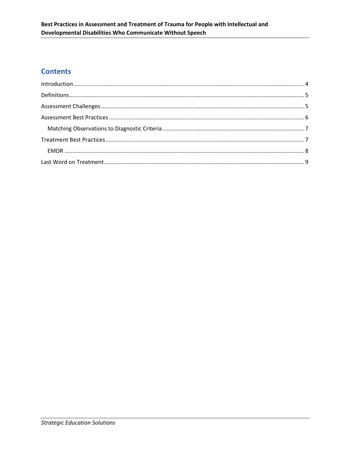# **Contents**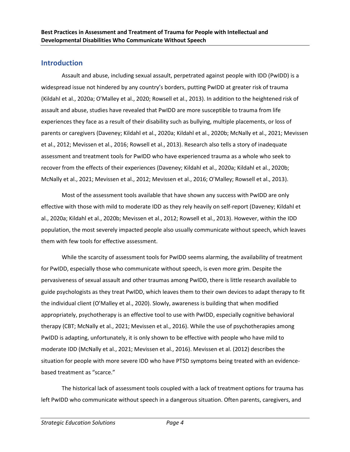#### <span id="page-3-0"></span>**Introduction**

Assault and abuse, including sexual assault, perpetrated against people with IDD (PwIDD) is a widespread issue not hindered by any country's borders, putting PwIDD at greater risk of trauma (Kildahl et al., 2020a; O'Malley et al., 2020; Rowsell et al., 2013). In addition to the heightened risk of assault and abuse, studies have revealed that PwIDD are more susceptible to trauma from life experiences they face as a result of their disability such as bullying, multiple placements, or loss of parents or caregivers (Daveney; Kildahl et al., 2020a; Kildahl et al., 2020b; McNally et al., 2021; Mevissen et al., 2012; Mevissen et al., 2016; Rowsell et al., 2013). Research also tells a story of inadequate assessment and treatment tools for PwIDD who have experienced trauma as a whole who seek to recover from the effects of their experiences (Daveney; Kildahl et al., 2020a; Kildahl et al., 2020b; McNally et al., 2021; Mevissen et al., 2012; Mevissen et al., 2016; O'Malley; Rowsell et al., 2013).

Most of the assessment tools available that have shown any success with PwIDD are only effective with those with mild to moderate IDD as they rely heavily on self-report (Daveney; Kildahl et al., 2020a; Kildahl et al., 2020b; Mevissen et al., 2012; Rowsell et al., 2013). However, within the IDD population, the most severely impacted people also usually communicate without speech, which leaves them with few tools for effective assessment.

While the scarcity of assessment tools for PwIDD seems alarming, the availability of treatment for PwIDD, especially those who communicate without speech, is even more grim. Despite the pervasiveness of sexual assault and other traumas among PwIDD, there is little research available to guide psychologists as they treat PwIDD, which leaves them to their own devices to adapt therapy to fit the individual client (O'Malley et al., 2020). Slowly, awareness is building that when modified appropriately, psychotherapy is an effective tool to use with PwIDD, especially cognitive behavioral therapy (CBT; McNally et al., 2021; Mevissen et al., 2016). While the use of psychotherapies among PwIDD is adapting, unfortunately, it is only shown to be effective with people who have mild to moderate IDD (McNally et al., 2021; Mevissen et al., 2016). Mevissen et al. (2012) describes the situation for people with more severe IDD who have PTSD symptoms being treated with an evidencebased treatment as "scarce."

The historical lack of assessment tools coupled with a lack of treatment options for trauma has left PwIDD who communicate without speech in a dangerous situation. Often parents, caregivers, and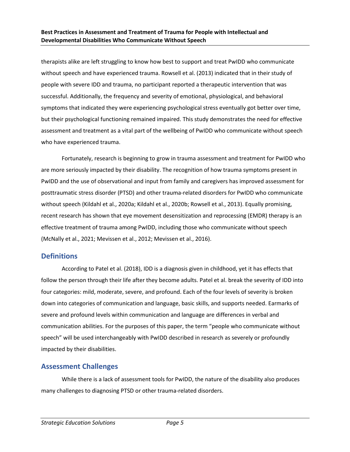therapists alike are left struggling to know how best to support and treat PwIDD who communicate without speech and have experienced trauma. Rowsell et al. (2013) indicated that in their study of people with severe IDD and trauma, no participant reported a therapeutic intervention that was successful. Additionally, the frequency and severity of emotional, physiological, and behavioral symptoms that indicated they were experiencing psychological stress eventually got better over time, but their psychological functioning remained impaired. This study demonstrates the need for effective assessment and treatment as a vital part of the wellbeing of PwIDD who communicate without speech who have experienced trauma.

Fortunately, research is beginning to grow in trauma assessment and treatment for PwIDD who are more seriously impacted by their disability. The recognition of how trauma symptoms present in PwIDD and the use of observational and input from family and caregivers has improved assessment for posttraumatic stress disorder (PTSD) and other trauma-related disorders for PwIDD who communicate without speech (Kildahl et al., 2020a; Kildahl et al., 2020b; Rowsell et al., 2013). Equally promising, recent research has shown that eye movement desensitization and reprocessing (EMDR) therapy is an effective treatment of trauma among PwIDD, including those who communicate without speech (McNally et al., 2021; Mevissen et al., 2012; Mevissen et al., 2016).

### <span id="page-4-0"></span>**Definitions**

According to Patel et al. (2018), IDD is a diagnosis given in childhood, yet it has effects that follow the person through their life after they become adults. Patel et al. break the severity of IDD into four categories: mild, moderate, severe, and profound. Each of the four levels of severity is broken down into categories of communication and language, basic skills, and supports needed. Earmarks of severe and profound levels within communication and language are differences in verbal and communication abilities. For the purposes of this paper, the term "people who communicate without speech" will be used interchangeably with PwIDD described in research as severely or profoundly impacted by their disabilities.

## <span id="page-4-1"></span>**Assessment Challenges**

While there is a lack of assessment tools for PwIDD, the nature of the disability also produces many challenges to diagnosing PTSD or other trauma-related disorders.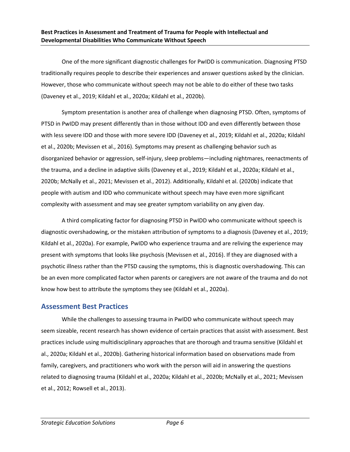One of the more significant diagnostic challenges for PwIDD is communication. Diagnosing PTSD traditionally requires people to describe their experiences and answer questions asked by the clinician. However, those who communicate without speech may not be able to do either of these two tasks (Daveney et al., 2019; Kildahl et al., 2020a; Kildahl et al., 2020b).

Symptom presentation is another area of challenge when diagnosing PTSD. Often, symptoms of PTSD in PwIDD may present differently than in those without IDD and even differently between those with less severe IDD and those with more severe IDD (Daveney et al., 2019; Kildahl et al., 2020a; Kildahl et al., 2020b; Mevissen et al., 2016). Symptoms may present as challenging behavior such as disorganized behavior or aggression, self-injury, sleep problems—including nightmares, reenactments of the trauma, and a decline in adaptive skills (Daveney et al., 2019; Kildahl et al., 2020a; Kildahl et al., 2020b; McNally et al., 2021; Mevissen et al., 2012). Additionally, Kildahl et al. (2020b) indicate that people with autism and IDD who communicate without speech may have even more significant complexity with assessment and may see greater symptom variability on any given day.

A third complicating factor for diagnosing PTSD in PwIDD who communicate without speech is diagnostic overshadowing, or the mistaken attribution of symptoms to a diagnosis (Daveney et al., 2019; Kildahl et al., 2020a). For example, PwIDD who experience trauma and are reliving the experience may present with symptoms that looks like psychosis (Mevissen et al., 2016). If they are diagnosed with a psychotic illness rather than the PTSD causing the symptoms, this is diagnostic overshadowing. This can be an even more complicated factor when parents or caregivers are not aware of the trauma and do not know how best to attribute the symptoms they see (Kildahl et al., 2020a).

### <span id="page-5-0"></span>**Assessment Best Practices**

While the challenges to assessing trauma in PwIDD who communicate without speech may seem sizeable, recent research has shown evidence of certain practices that assist with assessment. Best practices include using multidisciplinary approaches that are thorough and trauma sensitive (Kildahl et al., 2020a; Kildahl et al., 2020b). Gathering historical information based on observations made from family, caregivers, and practitioners who work with the person will aid in answering the questions related to diagnosing trauma (Kildahl et al., 2020a; Kildahl et al., 2020b; McNally et al., 2021; Mevissen et al., 2012; Rowsell et al., 2013).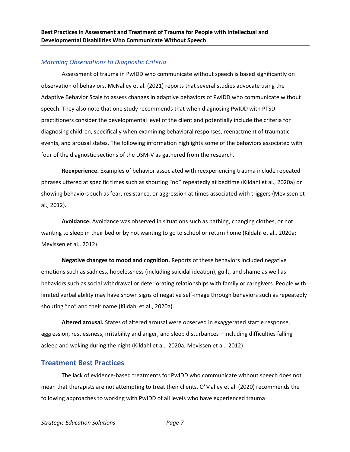#### <span id="page-6-0"></span>*Matching Observations to Diagnostic Criteria*

Assessment of trauma in PwIDD who communicate without speech is based significantly on observation of behaviors. McNalley et al. (2021) reports that several studies advocate using the Adaptive Behavior Scale to assess changes in adaptive behaviors of PwIDD who communicate without speech. They also note that one study recommends that when diagnosing PwIDD with PTSD practitioners consider the developmental level of the client and potentially include the criteria for diagnosing children, specifically when examining behavioral responses, reenactment of traumatic events, and arousal states. The following information highlights some of the behaviors associated with four of the diagnostic sections of the DSM-V as gathered from the research.

**Reexperience.** Examples of behavior associated with reexperiencing trauma include repeated phrases uttered at specific times such as shouting "no" repeatedly at bedtime (Kildahl et al., 2020a) or showing behaviors such as fear, resistance, or aggression at times associated with triggers (Mevissen et al., 2012).

**Avoidance.** Avoidance was observed in situations such as bathing, changing clothes, or not wanting to sleep in their bed or by not wanting to go to school or return home (Kildahl et al., 2020a; Mevissen et al., 2012).

**Negative changes to mood and cognition.** Reports of these behaviors included negative emotions such as sadness, hopelessness (including suicidal ideation), guilt, and shame as well as behaviors such as social withdrawal or deteriorating relationships with family or caregivers. People with limited verbal ability may have shown signs of negative self-image through behaviors such as repeatedly shouting "no" and their name (Kildahl et al., 2020a).

**Altered arousal.** States of altered arousal were observed in exaggerated startle response, aggression, restlessness, irritability and anger, and sleep disturbances—including difficulties falling asleep and waking during the night (Kildahl et al., 2020a; Mevissen et al., 2012).

## <span id="page-6-1"></span>**Treatment Best Practices**

The lack of evidence-based treatments for PwIDD who communicate without speech does not mean that therapists are not attempting to treat their clients. O'Malley et al. (2020) recommends the following approaches to working with PwIDD of all levels who have experienced trauma: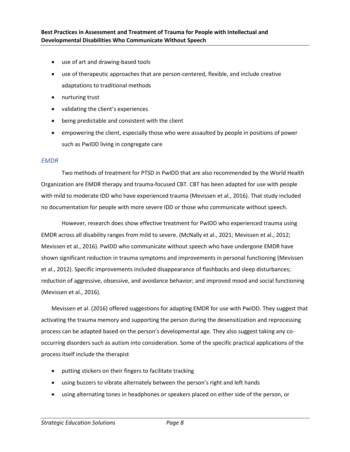- use of art and drawing-based tools
- use of therapeutic approaches that are person-centered, flexible, and include creative adaptations to traditional methods
- nurturing trust
- validating the client's experiences
- being predictable and consistent with the client
- empowering the client, especially those who were assaulted by people in positions of power such as PwIDD living in congregate care

#### <span id="page-7-0"></span>*EMDR*

Two methods of treatment for PTSD in PwIDD that are also recommended by the World Health Organization are EMDR therapy and trauma-focused CBT. CBT has been adapted for use with people with mild to moderate IDD who have experienced trauma (Mevissen et al., 2016). That study included no documentation for people with more severe IDD or those who communicate without speech.

However, research does show effective treatment for PwIDD who experienced trauma using EMDR across all disability ranges from mild to severe. (McNally et al., 2021; Mevissen et al., 2012; Mevissen et al., 2016). PwIDD who communicate without speech who have undergone EMDR have shown significant reduction in trauma symptoms and improvements in personal functioning (Mevissen et al., 2012). Specific improvements included disappearance of flashbacks and sleep disturbances; reduction of aggressive, obsessive, and avoidance behavior; and improved mood and social functioning (Mevissen et al., 2016).

Mevissen et al. (2016) offered suggestions for adapting EMDR for use with PwIDD. They suggest that activating the trauma memory and supporting the person during the desensitization and reprocessing process can be adapted based on the person's developmental age. They also suggest taking any cooccurring disorders such as autism into consideration. Some of the specific practical applications of the process itself include the therapist

- putting stickers on their fingers to facilitate tracking
- using buzzers to vibrate alternately between the person's right and left hands
- using alternating tones in headphones or speakers placed on either side of the person, or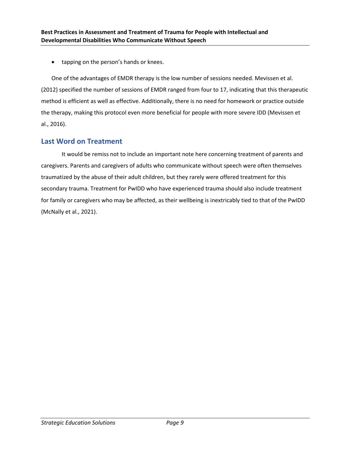• tapping on the person's hands or knees.

One of the advantages of EMDR therapy is the low number of sessions needed. Mevissen et al. (2012) specified the number of sessions of EMDR ranged from four to 17, indicating that this therapeutic method is efficient as well as effective. Additionally, there is no need for homework or practice outside the therapy, making this protocol even more beneficial for people with more severe IDD (Mevissen et al., 2016).

## <span id="page-8-0"></span>**Last Word on Treatment**

It would be remiss not to include an important note here concerning treatment of parents and caregivers. Parents and caregivers of adults who communicate without speech were often themselves traumatized by the abuse of their adult children, but they rarely were offered treatment for this secondary trauma. Treatment for PwIDD who have experienced trauma should also include treatment for family or caregivers who may be affected, as their wellbeing is inextricably tied to that of the PwIDD (McNally et al., 2021).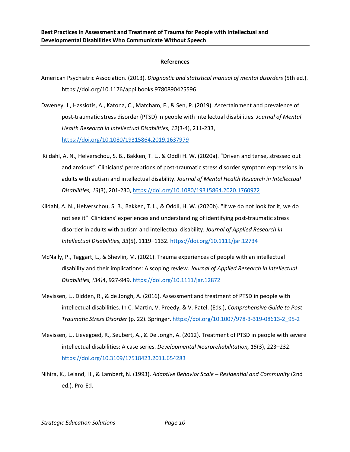#### **References**

- American Psychiatric Association. (2013). *Diagnostic and statistical manual of mental disorders* (5th ed.). https://doi.org/10.1176/appi.books.9780890425596
- Daveney, J., Hassiotis, A., Katona, C., Matcham, F., & Sen, P. (2019). Ascertainment and prevalence of post-traumatic stress disorder (PTSD) in people with intellectual disabilities. *Journal of Mental Health Research in Intellectual Disabilities, 12*(3-4), 211-233, <https://doi.org/10.1080/19315864.2019.1637979>
- Kildahl, A. N., Helverschou, S. B., Bakken, T. L., & Oddli H. W. (2020a). "Driven and tense, stressed out and anxious": Clinicians' perceptions of post-traumatic stress disorder symptom expressions in adults with autism and intellectual disability. *Journal of Mental Health Research in Intellectual Disabilities, 13*(3), 201-230,<https://doi.org/10.1080/19315864.2020.1760972>
- Kildahl, A. N., Helverschou, S. B., Bakken, T. L., & Oddli, H. W. (2020b). "If we do not look for it, we do not see it": Clinicians' experiences and understanding of identifying post-traumatic stress disorder in adults with autism and intellectual disability. *Journal of Applied Research in Intellectual Disabilities, 33*(5), 1119–1132[. https://doi.org/10.1111/jar.12734](https://doi.org/10.1111/jar.12734)
- McNally, P., Taggart, L., & Shevlin, M. (2021). Trauma experiences of people with an intellectual disability and their implications: A scoping review. *Journal of Applied Research in Intellectual Disabilities, (34)*4, 927-949.<https://doi.org/10.1111/jar.12872>
- Mevissen, L., Didden, R., & de Jongh, A. (2016). Assessment and treatment of PTSD in people with intellectual disabilities. In C. Martin, V. Preedy, & V. Patel. (Eds.), *Comprehensive Guide to Post-Traumatic Stress Disorder* (p. 22). Springer. [https://doi.org/10.1007/978-3-319-08613-2\\_95-2](https://doi.org/10.1007/978-3-319-08613-2_95-2)
- Mevissen, L., Lievegoed, R., Seubert, A., & De Jongh, A. (2012). Treatment of PTSD in people with severe intellectual disabilities: A case series. *Developmental Neurorehabilitation, 15*(3), 223–232. <https://doi.org/10.3109/17518423.2011.654283>
- Nihira, K., Leland, H., & Lambert, N. (1993). *Adaptive Behavior Scale – Residential and Community* (2nd ed.). Pro-Ed.